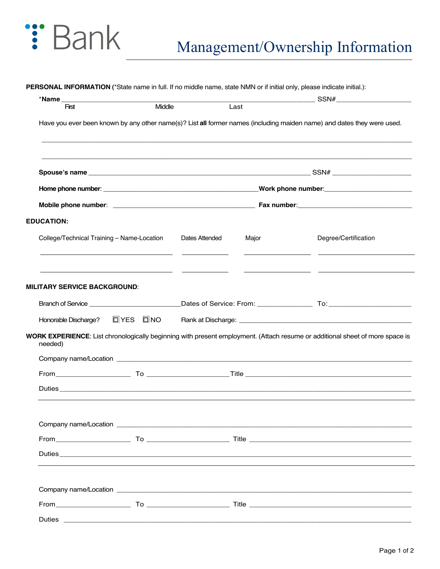## : Bank

| *Name _________________________                                        |        |                |       |                                                                                                                              |
|------------------------------------------------------------------------|--------|----------------|-------|------------------------------------------------------------------------------------------------------------------------------|
| First                                                                  | Middle |                | Last  |                                                                                                                              |
|                                                                        |        |                |       | Have you ever been known by any other name(s)? List all former names (including maiden name) and dates they were used.       |
|                                                                        |        |                |       |                                                                                                                              |
|                                                                        |        |                |       |                                                                                                                              |
|                                                                        |        |                |       |                                                                                                                              |
| <b>EDUCATION:</b>                                                      |        |                |       |                                                                                                                              |
| College/Technical Training - Name-Location                             |        | Dates Attended | Major | Degree/Certification                                                                                                         |
| <b>MILITARY SERVICE BACKGROUND:</b>                                    |        |                |       |                                                                                                                              |
|                                                                        |        |                |       |                                                                                                                              |
| Honorable Discharge?<br><u> </u> <b> I</b> YES <b>I</b> INO<br>needed) |        |                |       | WORK EXPERIENCE: List chronologically beginning with present employment. (Attach resume or additional sheet of more space is |
|                                                                        |        |                |       |                                                                                                                              |
|                                                                        |        |                |       |                                                                                                                              |
|                                                                        |        |                |       |                                                                                                                              |
|                                                                        |        |                |       |                                                                                                                              |
|                                                                        |        |                |       |                                                                                                                              |
|                                                                        |        |                |       |                                                                                                                              |
|                                                                        |        |                |       |                                                                                                                              |
|                                                                        |        |                |       |                                                                                                                              |
|                                                                        |        |                |       |                                                                                                                              |